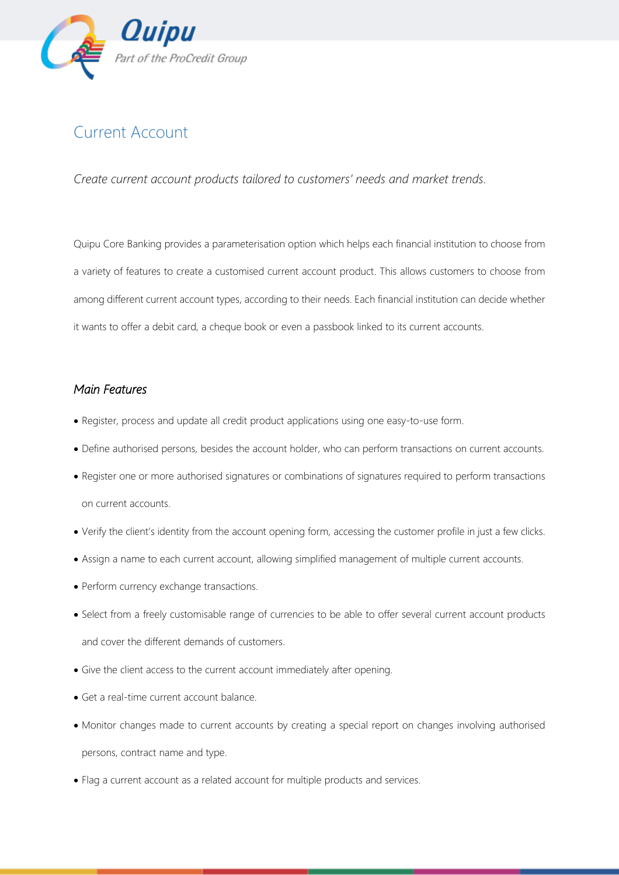

## Current Account

*Create current account products tailored to customers' needs and market trends.*

Quipu Core Banking provides a parameterisation option which helps each financial institution to choose from a variety of features to create a customised current account product. This allows customers to choose from among different current account types, according to their needs. Each financial institution can decide whether it wants to offer a debit card, a cheque book or even a passbook linked to its current accounts.

## *Main Features*

- Register, process and update all credit product applications using one easy-to-use form.
- Define authorised persons, besides the account holder, who can perform transactions on current accounts.
- Register one or more authorised signatures or combinations of signatures required to perform transactions on current accounts.
- Verify the client's identity from the account opening form, accessing the customer profile in just a few clicks.
- Assign a name to each current account, allowing simplified management of multiple current accounts.
- Perform currency exchange transactions.
- Select from a freely customisable range of currencies to be able to offer several current account products and cover the different demands of customers.
- Give the client access to the current account immediately after opening.
- Get a real-time current account balance.
- Monitor changes made to current accounts by creating a special report on changes involving authorised persons, contract name and type.
- Flag a current account as a related account for multiple products and services.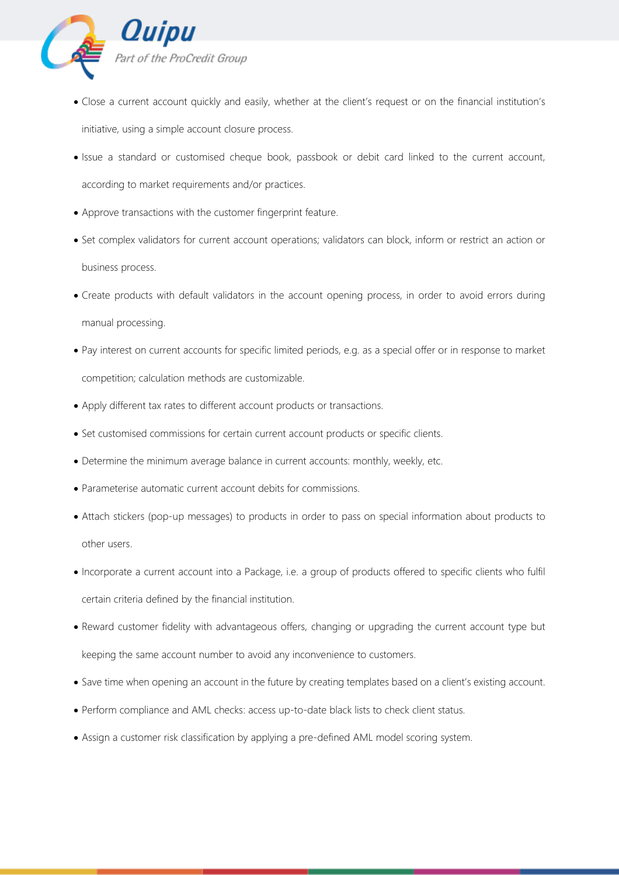

- Close a current account quickly and easily, whether at the client's request or on the financial institution's initiative, using a simple account closure process.
- Issue a standard or customised cheque book, passbook or debit card linked to the current account, according to market requirements and/or practices.
- Approve transactions with the customer fingerprint feature.
- Set complex validators for current account operations; validators can block, inform or restrict an action or business process.
- Create products with default validators in the account opening process, in order to avoid errors during manual processing.
- Pay interest on current accounts for specific limited periods, e.g. as a special offer or in response to market competition; calculation methods are customizable.
- Apply different tax rates to different account products or transactions.
- Set customised commissions for certain current account products or specific clients.
- Determine the minimum average balance in current accounts: monthly, weekly, etc.
- Parameterise automatic current account debits for commissions.
- Attach stickers (pop-up messages) to products in order to pass on special information about products to other users.
- Incorporate a current account into a Package, i.e. a group of products offered to specific clients who fulfil certain criteria defined by the financial institution.
- Reward customer fidelity with advantageous offers, changing or upgrading the current account type but keeping the same account number to avoid any inconvenience to customers.
- Save time when opening an account in the future by creating templates based on a client's existing account.
- Perform compliance and AML checks: access up-to-date black lists to check client status.
- Assign a customer risk classification by applying a pre-defined AML model scoring system.